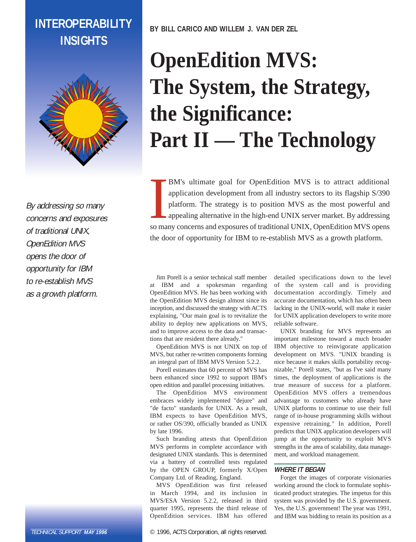# **INTEROPERABILITY INSIGHTS**



By addressing so many concerns and exposures of traditional UNIX, OpenEdition MVS opens the door of opportunity for IBM to re-establish MVS as a growth platform.

TECHNICAL SUPPORT **MAY 1996**

**BY BILL CARICO AND WILLEM J. VAN DER ZEL**

# **OpenEdition MVS: The System, the Strategy, the Significance: Part II — The Technology**

BM's ultimate goal for OpenEdition MVS is to attract additional application development from all industry sectors to its flagship S/390 platform. The strategy is to position MVS as the most powerful and appealing alternati BM's ultimate goal for OpenEdition MVS is to attract additional application development from all industry sectors to its flagship S/390 platform. The strategy is to position MVS as the most powerful and appealing alternative in the high-end UNIX server market. By addressing the door of opportunity for IBM to re-establish MVS as a growth platform.

Jim Porell is a senior technical staff member at IBM and a spokesman regarding OpenEdition MVS. He has been working with the OpenEdition MVS design almost since its inception, and discussed the strategy with ACTS explaining, "Our main goal is to revitalize the ability to deploy new applications on MVS, and to improve access to the data and transactions that are resident there already."

OpenEdition MVS is not UNIX on top of MVS, but rather re-written components forming an integral part of IBM MVS Version 5.2.2.

Porell estimates that 60 percent of MVS has been enhanced since 1992 to support IBM's open edition and parallel processing initiatives.

The OpenEdition MVS environment embraces widely implemented "dejure" and "de facto" standards for UNIX. As a result, IBM expects to have OpenEdition MVS, or rather OS/390, officially branded as UNIX by late 1996.

Such branding attests that OpenEdition MVS performs in complete accordance with designated UNIX standards. This is determined via a battery of controlled tests regulated by the OPEN GROUP, formerly X/Open Company Ltd. of Reading, England.

MVS OpenEdition was first released in March 1994, and its inclusion in MVS/ESA Version 5.2.2, released in third quarter 1995, represents the third release of OpenEdition services. IBM has offered

© 1996, ACTS Corporation, all rights reserved.

detailed specifications down to the level of the system call and is providing documentation accordingly. Timely and accurate documentation, which has often been lacking in the UNIX-world, will make it easier for UNIX application developers to write more reliable software.

UNIX branding for MVS represents an important milestone toward a much broader IBM objective to reinvigorate application development on MVS. "UNIX branding is nice because it makes skills portability recognizable," Porell states, "but as I've said many times, the deployment of applications is the true measure of success for a platform. OpenEdition MVS offers a tremendous advantage to customers who already have UNIX platforms to continue to use their full range of in-house programming skills without expensive retraining." In addition, Porell predicts that UNIX application developers will jump at the opportunity to exploit MVS strengths in the area of scalability, data management, and workload management.

# **WHERE IT BEGAN**

Forget the images of corporate visionaries working around the clock to formulate sophisticated product strategies. The impetus for this system was provided by the U.S. government. Yes, the U.S. government! The year was 1991, and IBM was bidding to retain its position as a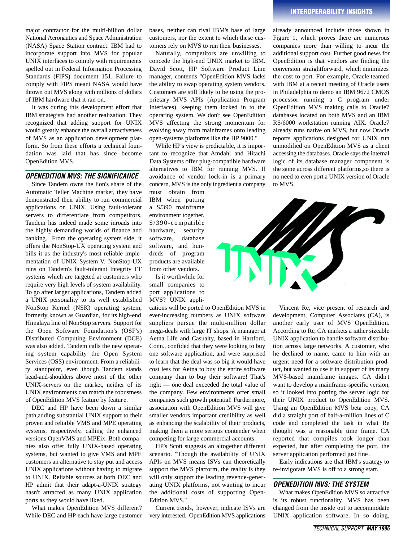major contractor for the multi-billion dollar National Aeronautics and Space Administration (NASA) Space Station contract. IBM had to incorporate support into MVS for popular UNIX interfaces to comply with requirements spelled out in Federal Information Processing Standards (FIPS) document 151. Failure to comply with FIPS meant NASA would have thrown out MVS along with millions of dollars of IBM hardware that it ran on.

It was during this development effort that IBM strategists had another realization. They recognized that adding support for UNIX would greatly enhance the overall attractiveness of MVS as an application development platform. So from these efforts a technical foundation was laid that has since become OpenEdition MVS.

#### *OPENEDITION MVS: THE SIGNIFICANCE*

Since Tandem owns the lion's share of the Automatic Teller Machine market, they have demonstrated their ability to run commercial applications on UNIX. Using fault-tolerant servers to differentiate from competitors, Tandem has indeed made some inroads into the highly demanding worlds of finance and banking. From the operating system side, it offers the NonStop-UX operating system and bills it as the industry's most reliable implementation of UNIX System V. NonStop-UX runs on Tandem's fault-tolerant Integrity FT systems which are targeted at customers who require very high levels of system availability. To go after larger applications, Tandem added a UNIX personality to its well established NonStop Kernel (NSK) operating system, formerly known as Guardian, for its high-end Himalaya line of NonStop servers. Support for the Open Software Foundation's (OSF's) Distributed Computing Environment (DCE) was also added. Tandem calls the new operating system capability the Open System Services (OSS) environment. From a reliability standpoint, even though Tandem stands head-and-shoulders above most of the other UNIX-servers on the market, neither of its UNIX environments can match the robustness of OpenEdition MVS feature by feature.

DEC and HP have been down a similar path,adding substantial UNIX support to their proven and reliable VMS and MPE operating systems, respectively, calling the enhanced versions OpenVMS and MPEix. Both compa nies also offer fully UNIX-based operating systems, but wanted to give VMS and MPE customers an alternative to stay put and access UNIX applications without having to migrate to UNIX. Reliable sources at both DEC and HP admit that their adapt-a-UNIX strategy hasn't attracted as many UNIX application ports as they would have liked.

What makes OpenEdition MVS different? While DEC and HP each have large customer bases, neither can rival IBM's base of large customers, nor the extent to which these customers rely on MVS to run their businesses.

Naturally, competitors are unwilling to concede the high-end UNIX market to IBM. David Scott, HP Software Product Line manager, contends "OpenEdition MVS lacks the ability to swap operating system vendors. Customers are still likely to be using the proprietary MVS APIs (Application Program Interfaces), keeping them locked in to the operating system. We don't see OpenEdition MVS affecting the strong momentum for evolving away from mainframes onto leading open-systems platforms like the HP 9000."

While HP's view is predictable, it is important to recognize that Amdahl and Hitachi Data Systems offer plug-compatible hardware alternatives to IBM for running MVS. If avoidance of vendor lock-in is a primary concern, MVS is the only ingredient a company

must obtain from IBM when putting a S/390 mainframe environment together. S/390-compatible hardware, security software, database software, and hundreds of program products are available from other vendors.

Is it worthwhile for small companies to port applications to MVS? UNIX appli-

cations will be ported to OpenEdition MVS in ever-increasing numbers as UNIX software suppliers pursue the multi-million dollar mega-deals with large IT shops. A manager at Aetna Life and Casualty, based in Hartford, Conn., confided that they were looking to buy one software application, and were surprised to learn that the deal was so big it would have cost less for Aetna to buy the entire software company than to buy their software! That's right — one deal exceeded the total value of the company. Few environments offer small companies such growth potential! Furthermore, association with OpenEdition MVS will give smaller vendors important credibility as well as enhancing the scalability of their products, making them a more serious contender when competing for large commercial accounts.

HP's Scott suggests an altogether different scenario. "Though the availability of UNIX APIs on MVS means ISVs can theoretically support the MVS platform, the reality is they will only support the leading revenue-generating UNIX platforms, not wanting to incur the additional costs of supporting Open-Edition MVS."

Current trends, however, indicate ISVs are very interested. OpenEdition MVS applications

already announced include those shown in Figure 1, which proves there are numerous companies more than willing to incur the additional support cost. Further good news for OpenEdition is that vendors are finding the conversion straightforward, which minimizes the cost to port. For example, Oracle teamed with IBM at a recent meeting of Oracle users in Philadelphia to demo an IBM 9672 CMOS p rocessor running a C program under OpenEdition MVS making calls to Oracle7 databases located on both MVS and an IBM RS/6000 workstation running AIX. Oracle7 already runs native on MVS, but now Oracle reports applications designed for UNIX run unmodified on OpenEdition MVS as a client accessing the databases. Oracle says the internal logic of its database manager component is the same across different platforms,so there is no need to even port a UNIX version of Oracle to MVS.



Vincent Re, vice present of research and development, Computer Associates (CA), is another early user of MVS OpenEdition. According to Re, CA markets a rather sizeable UNIX application to handle software distribution across large networks. A customer, who he declined to name, came to him with an urgent need for a software distribution product, but wanted to use it in support of its many MVS-based mainframe images. CA didn't want to develop a mainframe-specific version, so it looked into porting the server logic for their UNIX product to OpenEdition MVS. Using an OpenEdition MVS beta copy, CA did a straight port of half-a-million lines of C code and completed the task in what Re thought was a reasonable time frame. CA reported that compiles took longer than expected, but after completing the port, the server application performed just fine.

Early indications are that IBM's strategy to re-invigorate MVS is off to a strong start.

#### *OPENEDITION MVS: THE SYSTEM*

What makes OpenEdition MVS so attractive is its robust functionality. MVS has been changed from the inside out to accommodate UNIX application software. In so doing,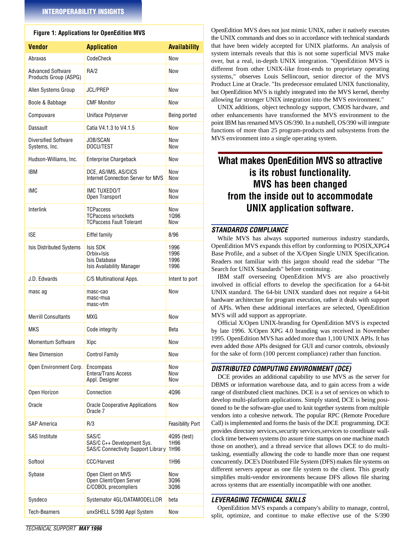# **Figure 1: Applications for OpenEdition MVS**

| <b>Vendor</b>                                     | <b>Application</b>                                                                | <b>Availability</b>          |
|---------------------------------------------------|-----------------------------------------------------------------------------------|------------------------------|
| Abraxas                                           | CodeCheck                                                                         | <b>Now</b>                   |
| <b>Advanced Software</b><br>Products Group (ASPG) | RA/2                                                                              | Now                          |
| Allen Systems Group                               | <b>JCL/PREP</b>                                                                   | Now                          |
| Boole & Babbage                                   | <b>CMF Monitor</b>                                                                | Now                          |
| Compuware                                         | <b>Uniface Polyserver</b>                                                         | Being ported                 |
| Dassault                                          | Catia V4.1.3 to V4.1.5                                                            | Now                          |
| <b>Diversified Software</b><br>Systems, Inc.      | JOB/SCAN<br>DOCU/TEST                                                             | Now<br>Now                   |
| Hudson-Williams, Inc.                             | <b>Enterprise Chargeback</b>                                                      | Now                          |
| <b>IBM</b>                                        | DCE, AS/IMS, AS/CICS<br>Internet Connection Server for MVS                        | Now<br>Now                   |
| <b>IMC</b>                                        | IMC TUXEDO/T<br>Open Transport                                                    | Now<br>Now                   |
| Interlink                                         | <b>TCPaccess</b><br><b>TCPaccess w/sockets</b><br><b>TCPaccess Fault Tolerant</b> | Now<br>1096<br>Now           |
| <b>ISE</b>                                        | Eiffel family                                                                     | 8/96                         |
| <b>Isis Distributed Systems</b>                   | Isis SDK<br>Orbix+Isis<br>Isis Database<br><b>Isis Availability Manager</b>       | 1996<br>1996<br>1996<br>1996 |
| J.D. Edwards                                      | C/S Multinational Apps.                                                           | Intent to port               |
| masc ag                                           | masc-cao<br>masc-mua<br>masc-vtm                                                  | Now                          |
| <b>Merrill Consultants</b>                        | MXG                                                                               | Now                          |
| <b>MKS</b>                                        | Code integrity                                                                    | Beta                         |
| <b>Momentum Software</b>                          | Xipc                                                                              | Now                          |
| <b>New Dimension</b>                              | <b>Control Family</b>                                                             | Now                          |
| Open Environment Corp.                            | Encompass<br>Entera/Trans Access<br>Appl. Designer                                | Now<br>Now<br>Now            |
| Open Horizon                                      | Connection                                                                        | 4096                         |
| Oracle                                            | <b>Oracle Cooperative Applications</b><br>Oracle <sub>7</sub>                     | Now                          |
| SAP America                                       | R/3                                                                               | <b>Feasibility Port</b>      |
| <b>SAS Institute</b>                              | SAS/C<br>SAS/C C++ Development Sys.<br>SAS/C Connectivity Support Library         | 4095 (test)<br>1H96<br>1H96  |
| Softool                                           | CCC/Harvest                                                                       | 1H96                         |
| Sybase                                            | Open Client on MVS<br>Open Client/Open Server<br>C/COBOL precompliers             | Now<br>3096<br>3096          |
| Sysdeco                                           | Systemator 4GL/DATAMODELLOR                                                       | beta                         |
| Tech-Beamers                                      | unxSHELL S/390 Appl System                                                        | Now                          |

OpenEdition MVS does not just mimic UNIX, rather it natively executes the UNIX commands and does so in accordance with technical standards that have been widely accepted for UNIX platforms. An analysis of system internals reveals that this is not some superficial MVS make over, but a real, in-depth UNIX integration. "OpenEdition MVS is different from other UNIX-like front-ends to proprietary operating systems," observes Louis Sellincourt, senior director of the MVS Product Line at Oracle. "Its predecessor emulated UNIX functionality, but OpenEdition MVS is tightly integrated into the MVS kernel, thereby allowing far stronger UNIX integration into the MVS environment."

UNIX additions, object technology support, CMOS hardware, and other enhancements have transformed the MVS environment to the point IBM has renamed MVS OS/390. In a nutshell, OS/390 will integrate functions of more than 25 program-products and subsystems from the MVS environment into a single operating system.

# **What makes OpenEdition MVS so attractive is its robust functionality. MVS has been changed from the inside out to accommodate UNIX application software.**

# *STANDARDS COMPLIANCE*

While MVS has always supported numerous industry standards, OpenEdition MVS expands this effort by conforming to POSIX,XPG4 Base Profile, and a subset of the X/Open Single UNIX Specification. Readers not familiar with this jargon should read the sidebar "The Search for UNIX Standards" before continuing.

IBM staff overseeing OpenEdition MVS are also proactively involved in official efforts to develop the specification for a 64-bit UNIX standard. The 64-bit UNIX standard does not require a 64-bit hardware architecture for program execution, rather it deals with support of APIs. When these additional interfaces are selected, OpenEdition MVS will add support as appropriate.

Official X/Open UNIX-branding for OpenEdition MVS is expected by late 1996. X/Open XPG 4.0 branding was received in November 1995. OpenEdition MVS has added more than 1,100 UNIX APIs. It has even added those APIs designed for GUI and cursor controls, obviously for the sake of form (100 percent compliance) rather than function.

# *DISTRIBUTED COMPUTING ENVIRONMENT (DCE)*

DCE provides an additional capability to use MVS as the server for DBMS or information warehouse data, and to gain access from a wide range of distributed client machines. DCE is a set of services on which to develop multi-platform applications. Simply stated, DCE is being positioned to be the software-glue used to knit together systems from multiple vendors into a cohesive network. The popular RPC (Remote Procedure Call) is implemented and forms the basis of the DCE programming. DCE provides directory services, security services, services to coordinate wallclock time between systems (to assure time stamps on one machine match those on another), and a thread service that allows DCE to do multitasking, essentially allowing the code to handle more than one request concurrently. DCE's Distributed File System (DFS) makes file systems on different servers appear as one file system to the client. This greatly simplifies multi-vendor environments because DFS allows file sharing across systems that are essentially incompatible with one another.

# *LEVERAGING TECHNICAL SKILLS*

OpenEdition MVS expands a company's ability to manage, control, split, optimize, and continue to make effective use of the S/390

*TECHNICAL SUPPORT MAY 1996*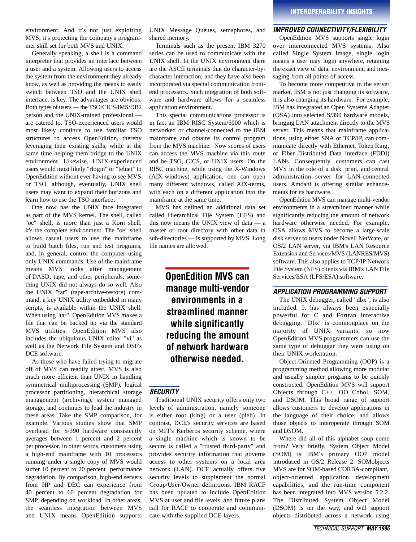environment. And it's not just exploiting MVS; it's protecting the company's programmer skill set for both MVS and UNIX.

Generally speaking, a shell is a command interpreter that provides an interface between a user and a system. Allowing users to access the system from the environment they already know, as well as providing the means to easily switch between TSO and the UNIX shell interface, is key. The advantages are obvious: Both types of users — the TSO/CICS/IMS/DB2 person and the UNIX-trained professional are catered to. TSO-experienced users would most likely continue to use familiar TSO structures to access OpenEdition, thereby leveraging their existing skills, while at the same time helping them bridge to the UNIX environment. Likewise, UNIX-experienced users would most likely "rlogin" or "telnet" to OpenEdition without ever having to see MVS or TSO, although, eventually, UNIX shell users may want to expand their horizons and learn how to use the TSO interface.

One now has the UNIX face integrated as part of the MVS kernel. The shell, called "oe" shell, is more than just a Korn shell, it's the complete environment. The "oe" shell allows casual users to use the mainframe to build batch files, run and test programs, and, in general, control the computer using only UNIX commands. Use of the mainframe means MVS looks after management of DASD, tape, and other peripherals, something UNIX did not always do so well. Also the UNIX "tar" (tape-archive-restore) command, a key UNIX utility embedded in many scripts, is available within the UNIX shell. When using "tar", OpenEdition MVS makes a file that can be backed up via the standard MVS utilities. OpenEdition MVS also includes the ubiquitous UNIX editor "vi" as well as the Network File System and OSF's DCE software.

As those who have failed trying to migrate off of MVS can readily attest, MVS is also much more efficient than UNIX in handling symmetrical multiprocessing (SMP), logical processor partitioning, hierarchical storage management (archiving), system managed storage, and continues to lead the industry in these areas. Take the SMP comparison, for example. Various studies show that SMP overhead for S/390 hardware consistently averages between 1 percent and 2 percent per processor. In other words, customers using a high-end mainframe with 10 processors running under a single copy of MVS would suffer 10 percent to 20 percent performance degradation. By comparison, high-end servers from HP and DEC can experience from 40 percent to 60 percent degradation for SMP, depending on workload. In other areas, the seamless integration between MVS and UNIX means OpenEdition supports

UNIX Message Queues, semaphores, and shared memory.

Terminals such as the present IBM 3270 series can be used to communicate with the UNIX shell. In the UNIX environment there are the ASCII terminals that do character-bycharacter interaction, and they have also been incorporated via special communication frontend processors. Such integration of both software and hardware allows for a seamless application environment.

This special communications processor is in fact an IBM RISC System/6000 which is networked or channel-connected to the IBM mainframe and obtains its control program from the MVS machine. Now scores of users can access the MVS machine via this route and be TSO, CICS, or UNIX users. On the RISC machine, while using the X-Windows (AIX-windows) application, one can open many different windows, called AIX-terms, with each on a different application into the mainframe at the same time.

MVS has defined an additional data set called Hierarchical File System (HFS) and this now means the UNIX view of data — a master or root directory with other data in sub-directories — is supported by MVS. Long file names are allowed.

> **OpenEdition MVS can manage multi-vendor environments in a streamlined manner while significantly reducing the amount of network hardware otherwise needed.**

# *SECURITY*

Traditional UNIX security offers only two levels of administration, namely someone is either root (king) or a user (pleb). In contrast, DCE's security services are based on MIT's Kerberos security scheme, where a single machine which is known to be secure is called a "trusted third-party" and provides security information that governs access to other systems on a local area network (LAN). DCE actually offers five security levels to supplement the normal Group/User/Owner definitions. IBM RACF has been updated to include OpenEdition MVS at user and file levels, and future plans call for RACF to cooperate and communicate with the supplied DCE layers.

# *IMPROVED CONNECTIVITY/FLEXIBILITY*

OpenEdition MVS supports single login over interconnected MVS systems. Also called Single System Image, single login means a user may login anywhere, retaining the exact view of data, environment, and messaging from all points of access.

To become more competitive in the server market, IBM is not just changing its software, it is also changing its hardware. For example, IBM has integrated an Open Systems Adapter (OSA) into selected S/390 hardware models, bringing LAN attachment directly to the MVS server. This means that mainframe applications, using either SNA or TCP/IP, can communicate directly with Ethernet, Token Ring, or Fiber Distributed Data Interface (FDDI) LANs. Consequently, customers can cast MVS in the role of a disk, print, and central administration server for LAN-connected users. Amdahl is offering similar enhancements for its hardware.

OpenEdition MVS can manage multi-vendor environments in a streamlined manner while significantly reducing the amount of network hardware otherwise needed. For example, OSA allows MVS to become a large-scale disk server to users under Novell NetWare, or OS/2 LAN server, via IBM's LAN Resource Extension and Services/MVS (LANRES/MVS) software. This also applies to TCP/IP Network File System (NFS) clients via IBM's LAN File Services/ESA (LFS/ESA) software.

# *AP P L I C ATION PROGRAMMING SUPPORT*

The UNIX debugger, called "dbx", is also included. It has always been especially powerful for C and Fortran interactive debugging. "Dbx" is commonplace on the majority of UNIX variants, so now OpenEdition MVS programmers can use the same type of debugger they were using on their UNIX workstation.

Object-Oriented Programming (OOP) is a programming method allowing more modular and usually simpler programs to be quickly constructed. OpenEdition MVS will support Objects through  $C_{++}$ , OO Cobol, SOM, and DSOM. This broad range of support allows customers to develop applications in the language of their choice, and allows those objects to interoperate through SOM and DSOM.

Where did all of this alphabet soup come from? Very briefly, System Object Model (SOM) is IBM's primary OOP model introduced in OS/2 Release 2. SOMobjects MVS are for SOM-based CORBA-compliant, object-oriented application development capabilities, and the run-time component has been integrated into MVS version 5.2.2. The Distributed System Object Model (DSOM) is on the way, and will support objects distributed across a network using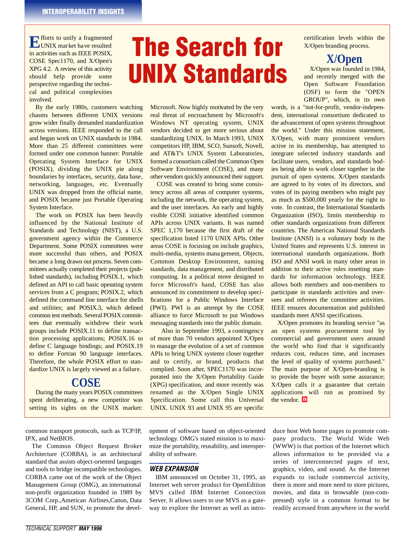**EX** forts to unify a fragmented UNIX market have resulted in activities such as IEEE POSIX, COSE Spec1170, and X/Open's  $XPG 4.2$ . A review of this activity should help provide some perspective regarding the technical and political complexities involved.

By the early 1980s, customers watching chasms between different UNIX versions grow wider finally demanded standardization across versions. IEEE responded to the call and began work on UNIX standards in 1984. More than 25 different committees were formed under one common banner: Portable Operating System Interface for UNIX (POSIX), dividing the UNIX pie along boundaries by interfaces, security, data base, networking, languages, etc. Eventually UNIX was dropped from the official name, and POSIX became just Portable Operating System Interface.

The work on POSIX has been heavily influenced by the National Institute of Standards and Technology (NIST), a U.S. government agency within the Commerce Department. Some POSIX committees were more successful than others, and POSIX became a long drawn out process. Seven committees actually completed their projects (published standards), including POSIX.1, which defined an API to call basic operating system services from a C program; POSIX.2, which defined the command line interface for shells and utilities; and POSIX.3, which defined common test methods. Several POSIX committees that eventually withdrew their work groups include POSIX.11 to define transaction processing applications; POSIX.16 to define C language bindings; and POSIX.19 to define Fortran 90 language interfaces. Therefore, the whole POSIX effort to standardize UNIX is largely viewed as a failure.

# **COSE**

During the many years POSIX committees spent deliberating, a new competitor was setting its sights on the UNIX market:

common transport protocols, such as TCP/IP, IPX, and NetBIOS.

The Common Object Request Broker Architecture (CORBA), is an architectural standard that assists object-oriented languages and tools to bridge incompatible technologies. CORBA came out of the work of the Object Management Group (OMG), an international non-profit organization founded in 1989 by 3COM Corp.,American Airlines,Canon, Data General, HP, and SUN, to promote the devel-

# The Search for UNIX Standards

Microsoft. Now highly motivated by the very real threat of encroachment by Microsoft's Windows NT operating system, UNIX vendors decided to get more serious about standardizing UNIX. In March 1993, UNIX competitors HP, IBM, SCO, Sunsoft, Novell, and AT&T's UNIX System Laboratories, formed a consortium called the Common Open Software Environment (COSE), and many other vendors quickly announced their support.

COSE was created to bring some consistency across all areas of computer systems, including the network, the operating system, and the user interfaces. An early and highly visible COSE initiative identified common APIs across UNIX variants. It was named SPEC 1,170 because the first draft of the specification listed 1170 UNIX APIs. Other areas COSE is focusing on include graphics, multi-media, systems mana gement, Objects, Common Desktop Environment, naming standards, data management, and distributed computing. In a political move designed to force Microsoft's hand, COSE has also announced its commitment to develop specifications for a Public Windows Interface (PWI). PWI is an attempt by the COSE alliance to force Microsoft to put Windows messaging standards into the public domain.

Also in September 1993, a contingency of more than 70 vendors appointed X/Open to manage the evolution of a set of common APIs to bring UNIX systems closer together and to certify, or brand, products that complied. Soon after, SPEC1170 was incorporated into the X/Open Portability Guide (XPG) specification, and more recently was renamed as the X/Open Single UNIX Specification. Some call this Universal UNIX. UNIX 93 and UNIX 95 are specific

certification levels within the X/Open branding process.

# **X/Open**

X/Open was founded in 1984, and recently merged with the Open Software Foundation (OSF) to form the "OPEN GROUP", which, in its own

words, is a "not-for-profit, vendor-independent, international consortium dedicated to the advancement of open systems throughout the world." Under this mission statement, X/Open, with many prominent vendors active in its membership, has attempted to integrate selected industry standards and facilitate users, vendors, and standards bodies being able to work closer together in the pursuit of open systems. X/Open standards are agreed to by votes of its directors, and votes of its paying members who might pay as much as \$500,000 yearly for the right to vote. In contrast, the International Standards Organization (ISO), limits membership to other standards organizations from different countries. The American National Standards Institute (ANSI) is a voluntary body in the United States and represents U.S. interest in international standards organizations. Both ISO and ANSI work in many other areas in addition to their active roles insetting standards for information technology. IEEE allows both members and non-members to participate in standards activities and oversees and referees the committee activities. IEEE ensures documentation and published standards meet ANSI specifications.

X/Open promotes its branding service "as an open systems procurement tool by commercial and government users around the world who find that it significantly reduces cost, reduces time, and increases the level of quality of systems purchased." The main purpose of X/Open-branding is to provide the buyer with some assurance; X/Open calls it a guarantee that certain applications will run as promised by the vendor. *ts*

opment of software based on object-oriented technology. OMG's stated mission is to maximize the portability, reusability, and interoperability of software.

# *WEB EXPANSION*

IBM announced on October 31, 1995, an Internet web server product for OpenEdition MVS called IBM Internet Connection Server. It allows users to use MVS as a gateway to explore the Internet as well as introduce host Web home pages to promote company products. The World Wide Web  $(WWW)$  is that portion of the Internet which allows information to be provided via a series of interconnected pages of text, graphics, video, and sound. As the Internet expands to include commercial activity, there is more and more need to store pictures, movies, and data in browsable (non-compressed) style in a common format to be readily accessed from anywhere in the world